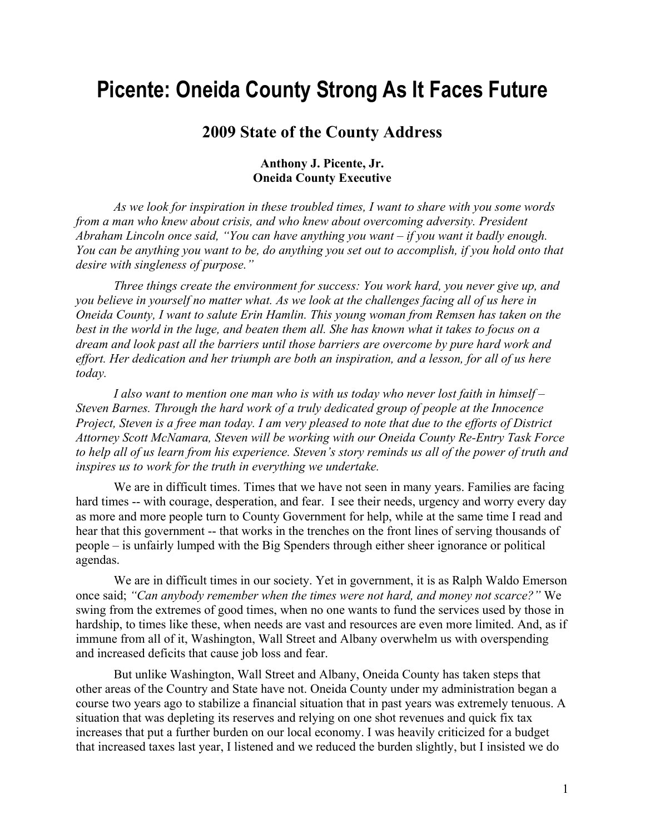## **Picente: Oneida County Strong As It Faces Future**

## **2009 State of the County Address**

## **Anthony J. Picente, Jr. Oneida County Executive**

*As we look for inspiration in these troubled times, I want to share with you some words from a man who knew about crisis, and who knew about overcoming adversity. President Abraham Lincoln once said, "You can have anything you want – if you want it badly enough. You can be anything you want to be, do anything you set out to accomplish, if you hold onto that desire with singleness of purpose."* 

*Three things create the environment for success: You work hard, you never give up, and you believe in yourself no matter what. As we look at the challenges facing all of us here in Oneida County, I want to salute Erin Hamlin. This young woman from Remsen has taken on the best in the world in the luge, and beaten them all. She has known what it takes to focus on a dream and look past all the barriers until those barriers are overcome by pure hard work and effort. Her dedication and her triumph are both an inspiration, and a lesson, for all of us here today.* 

 *I also want to mention one man who is with us today who never lost faith in himself – Steven Barnes. Through the hard work of a truly dedicated group of people at the Innocence Project, Steven is a free man today. I am very pleased to note that due to the efforts of District Attorney Scott McNamara, Steven will be working with our Oneida County Re-Entry Task Force to help all of us learn from his experience. Steven's story reminds us all of the power of truth and inspires us to work for the truth in everything we undertake.* 

We are in difficult times. Times that we have not seen in many years. Families are facing hard times -- with courage, desperation, and fear. I see their needs, urgency and worry every day as more and more people turn to County Government for help, while at the same time I read and hear that this government -- that works in the trenches on the front lines of serving thousands of people – is unfairly lumped with the Big Spenders through either sheer ignorance or political agendas.

 We are in difficult times in our society. Yet in government, it is as Ralph Waldo Emerson once said; *"Can anybody remember when the times were not hard, and money not scarce?"* We swing from the extremes of good times, when no one wants to fund the services used by those in hardship, to times like these, when needs are vast and resources are even more limited. And, as if immune from all of it, Washington, Wall Street and Albany overwhelm us with overspending and increased deficits that cause job loss and fear.

 But unlike Washington, Wall Street and Albany, Oneida County has taken steps that other areas of the Country and State have not. Oneida County under my administration began a course two years ago to stabilize a financial situation that in past years was extremely tenuous. A situation that was depleting its reserves and relying on one shot revenues and quick fix tax increases that put a further burden on our local economy. I was heavily criticized for a budget that increased taxes last year, I listened and we reduced the burden slightly, but I insisted we do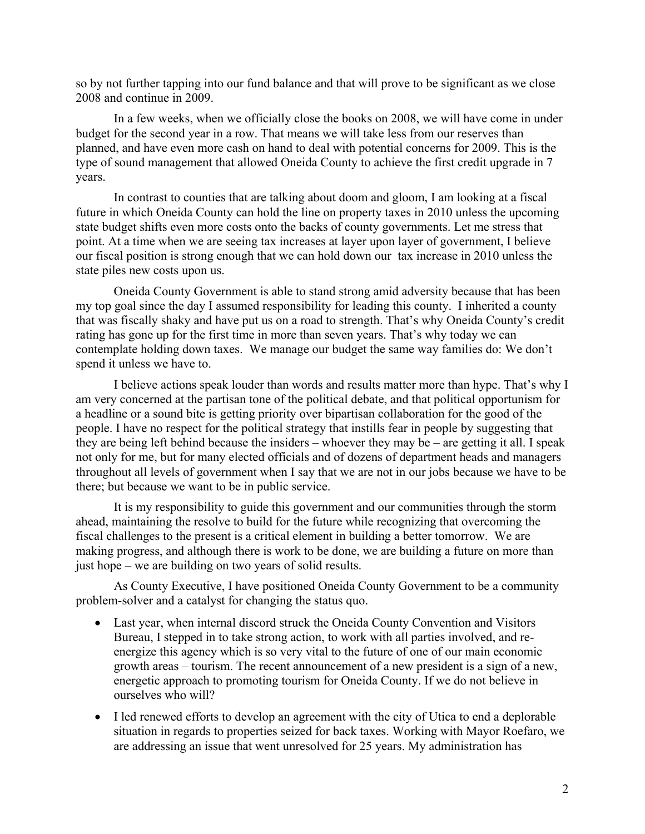so by not further tapping into our fund balance and that will prove to be significant as we close 2008 and continue in 2009.

 In a few weeks, when we officially close the books on 2008, we will have come in under budget for the second year in a row. That means we will take less from our reserves than planned, and have even more cash on hand to deal with potential concerns for 2009. This is the type of sound management that allowed Oneida County to achieve the first credit upgrade in 7 years.

 In contrast to counties that are talking about doom and gloom, I am looking at a fiscal future in which Oneida County can hold the line on property taxes in 2010 unless the upcoming state budget shifts even more costs onto the backs of county governments. Let me stress that point. At a time when we are seeing tax increases at layer upon layer of government, I believe our fiscal position is strong enough that we can hold down our tax increase in 2010 unless the state piles new costs upon us.

 Oneida County Government is able to stand strong amid adversity because that has been my top goal since the day I assumed responsibility for leading this county. I inherited a county that was fiscally shaky and have put us on a road to strength. That's why Oneida County's credit rating has gone up for the first time in more than seven years. That's why today we can contemplate holding down taxes. We manage our budget the same way families do: We don't spend it unless we have to.

 I believe actions speak louder than words and results matter more than hype. That's why I am very concerned at the partisan tone of the political debate, and that political opportunism for a headline or a sound bite is getting priority over bipartisan collaboration for the good of the people. I have no respect for the political strategy that instills fear in people by suggesting that they are being left behind because the insiders – whoever they may be – are getting it all. I speak not only for me, but for many elected officials and of dozens of department heads and managers throughout all levels of government when I say that we are not in our jobs because we have to be there; but because we want to be in public service.

 It is my responsibility to guide this government and our communities through the storm ahead, maintaining the resolve to build for the future while recognizing that overcoming the fiscal challenges to the present is a critical element in building a better tomorrow. We are making progress, and although there is work to be done, we are building a future on more than just hope – we are building on two years of solid results.

 As County Executive, I have positioned Oneida County Government to be a community problem-solver and a catalyst for changing the status quo.

- Last year, when internal discord struck the Oneida County Convention and Visitors Bureau, I stepped in to take strong action, to work with all parties involved, and reenergize this agency which is so very vital to the future of one of our main economic growth areas – tourism. The recent announcement of a new president is a sign of a new, energetic approach to promoting tourism for Oneida County. If we do not believe in ourselves who will?
- I led renewed efforts to develop an agreement with the city of Utica to end a deplorable situation in regards to properties seized for back taxes. Working with Mayor Roefaro, we are addressing an issue that went unresolved for 25 years. My administration has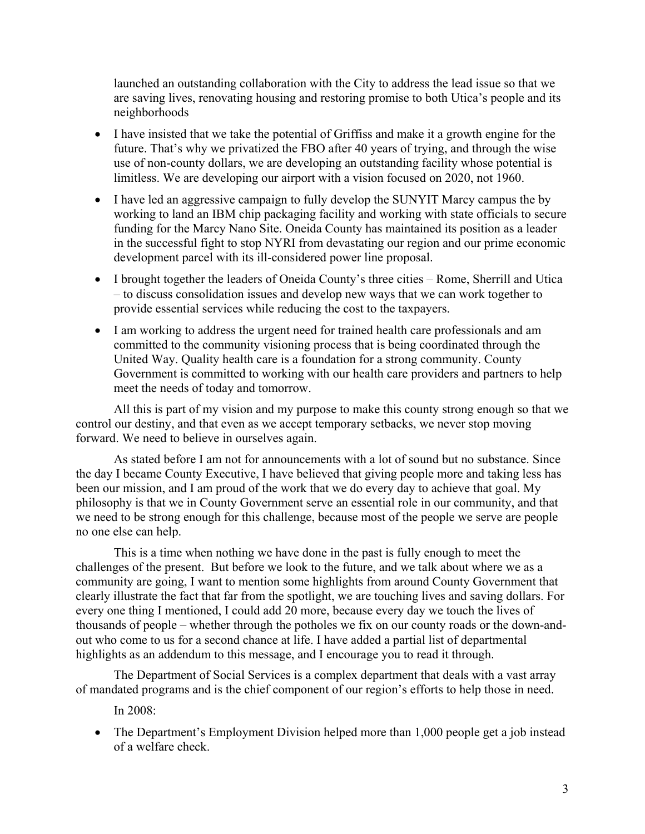launched an outstanding collaboration with the City to address the lead issue so that we are saving lives, renovating housing and restoring promise to both Utica's people and its neighborhoods

- I have insisted that we take the potential of Griffiss and make it a growth engine for the future. That's why we privatized the FBO after 40 years of trying, and through the wise use of non-county dollars, we are developing an outstanding facility whose potential is limitless. We are developing our airport with a vision focused on 2020, not 1960.
- I have led an aggressive campaign to fully develop the SUNYIT Marcy campus the by working to land an IBM chip packaging facility and working with state officials to secure funding for the Marcy Nano Site. Oneida County has maintained its position as a leader in the successful fight to stop NYRI from devastating our region and our prime economic development parcel with its ill-considered power line proposal.
- I brought together the leaders of Oneida County's three cities Rome, Sherrill and Utica – to discuss consolidation issues and develop new ways that we can work together to provide essential services while reducing the cost to the taxpayers.
- I am working to address the urgent need for trained health care professionals and am committed to the community visioning process that is being coordinated through the United Way. Quality health care is a foundation for a strong community. County Government is committed to working with our health care providers and partners to help meet the needs of today and tomorrow.

 All this is part of my vision and my purpose to make this county strong enough so that we control our destiny, and that even as we accept temporary setbacks, we never stop moving forward. We need to believe in ourselves again.

As stated before I am not for announcements with a lot of sound but no substance. Since the day I became County Executive, I have believed that giving people more and taking less has been our mission, and I am proud of the work that we do every day to achieve that goal. My philosophy is that we in County Government serve an essential role in our community, and that we need to be strong enough for this challenge, because most of the people we serve are people no one else can help.

 This is a time when nothing we have done in the past is fully enough to meet the challenges of the present. But before we look to the future, and we talk about where we as a community are going, I want to mention some highlights from around County Government that clearly illustrate the fact that far from the spotlight, we are touching lives and saving dollars. For every one thing I mentioned, I could add 20 more, because every day we touch the lives of thousands of people – whether through the potholes we fix on our county roads or the down-andout who come to us for a second chance at life. I have added a partial list of departmental highlights as an addendum to this message, and I encourage you to read it through.

 The Department of Social Services is a complex department that deals with a vast array of mandated programs and is the chief component of our region's efforts to help those in need.

In 2008:

• The Department's Employment Division helped more than 1,000 people get a job instead of a welfare check.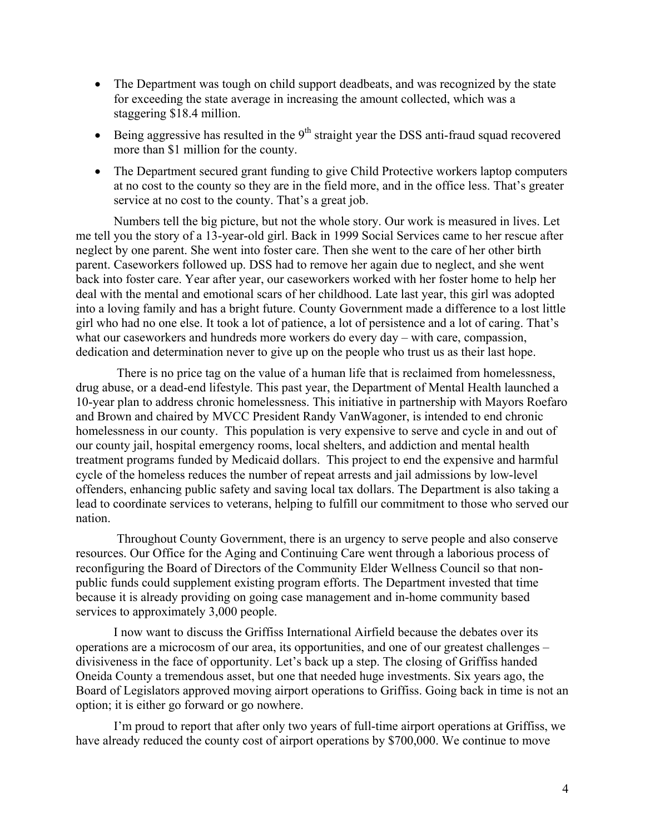- The Department was tough on child support deadbeats, and was recognized by the state for exceeding the state average in increasing the amount collected, which was a staggering \$18.4 million.
- Being aggressive has resulted in the  $9<sup>th</sup>$  straight year the DSS anti-fraud squad recovered more than \$1 million for the county.
- The Department secured grant funding to give Child Protective workers laptop computers at no cost to the county so they are in the field more, and in the office less. That's greater service at no cost to the county. That's a great job.

 Numbers tell the big picture, but not the whole story. Our work is measured in lives. Let me tell you the story of a 13-year-old girl. Back in 1999 Social Services came to her rescue after neglect by one parent. She went into foster care. Then she went to the care of her other birth parent. Caseworkers followed up. DSS had to remove her again due to neglect, and she went back into foster care. Year after year, our caseworkers worked with her foster home to help her deal with the mental and emotional scars of her childhood. Late last year, this girl was adopted into a loving family and has a bright future. County Government made a difference to a lost little girl who had no one else. It took a lot of patience, a lot of persistence and a lot of caring. That's what our caseworkers and hundreds more workers do every day – with care, compassion, dedication and determination never to give up on the people who trust us as their last hope.

 There is no price tag on the value of a human life that is reclaimed from homelessness, drug abuse, or a dead-end lifestyle. This past year, the Department of Mental Health launched a 10-year plan to address chronic homelessness. This initiative in partnership with Mayors Roefaro and Brown and chaired by MVCC President Randy VanWagoner, is intended to end chronic homelessness in our county. This population is very expensive to serve and cycle in and out of our county jail, hospital emergency rooms, local shelters, and addiction and mental health treatment programs funded by Medicaid dollars. This project to end the expensive and harmful cycle of the homeless reduces the number of repeat arrests and jail admissions by low-level offenders, enhancing public safety and saving local tax dollars. The Department is also taking a lead to coordinate services to veterans, helping to fulfill our commitment to those who served our nation.

 Throughout County Government, there is an urgency to serve people and also conserve resources. Our Office for the Aging and Continuing Care went through a laborious process of reconfiguring the Board of Directors of the Community Elder Wellness Council so that nonpublic funds could supplement existing program efforts. The Department invested that time because it is already providing on going case management and in-home community based services to approximately 3,000 people.

 I now want to discuss the Griffiss International Airfield because the debates over its operations are a microcosm of our area, its opportunities, and one of our greatest challenges – divisiveness in the face of opportunity. Let's back up a step. The closing of Griffiss handed Oneida County a tremendous asset, but one that needed huge investments. Six years ago, the Board of Legislators approved moving airport operations to Griffiss. Going back in time is not an option; it is either go forward or go nowhere.

 I'm proud to report that after only two years of full-time airport operations at Griffiss, we have already reduced the county cost of airport operations by \$700,000. We continue to move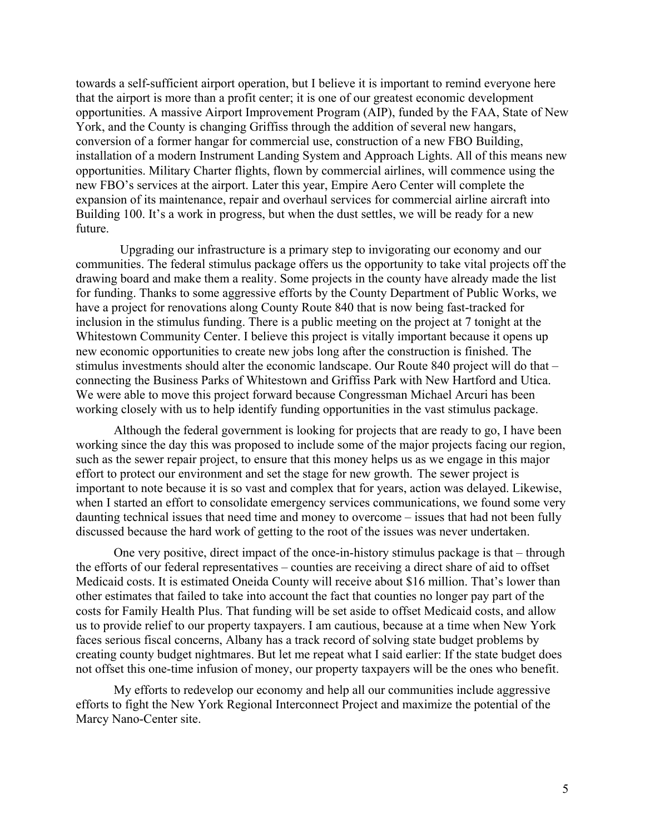towards a self-sufficient airport operation, but I believe it is important to remind everyone here that the airport is more than a profit center; it is one of our greatest economic development opportunities. A massive Airport Improvement Program (AIP), funded by the FAA, State of New York, and the County is changing Griffiss through the addition of several new hangars, conversion of a former hangar for commercial use, construction of a new FBO Building, installation of a modern Instrument Landing System and Approach Lights. All of this means new opportunities. Military Charter flights, flown by commercial airlines, will commence using the new FBO's services at the airport. Later this year, Empire Aero Center will complete the expansion of its maintenance, repair and overhaul services for commercial airline aircraft into Building 100. It's a work in progress, but when the dust settles, we will be ready for a new future.

 Upgrading our infrastructure is a primary step to invigorating our economy and our communities. The federal stimulus package offers us the opportunity to take vital projects off the drawing board and make them a reality. Some projects in the county have already made the list for funding. Thanks to some aggressive efforts by the County Department of Public Works, we have a project for renovations along County Route 840 that is now being fast-tracked for inclusion in the stimulus funding. There is a public meeting on the project at 7 tonight at the Whitestown Community Center. I believe this project is vitally important because it opens up new economic opportunities to create new jobs long after the construction is finished. The stimulus investments should alter the economic landscape. Our Route 840 project will do that – connecting the Business Parks of Whitestown and Griffiss Park with New Hartford and Utica. We were able to move this project forward because Congressman Michael Arcuri has been working closely with us to help identify funding opportunities in the vast stimulus package.

Although the federal government is looking for projects that are ready to go, I have been working since the day this was proposed to include some of the major projects facing our region, such as the sewer repair project, to ensure that this money helps us as we engage in this major effort to protect our environment and set the stage for new growth. The sewer project is important to note because it is so vast and complex that for years, action was delayed. Likewise, when I started an effort to consolidate emergency services communications, we found some very daunting technical issues that need time and money to overcome – issues that had not been fully discussed because the hard work of getting to the root of the issues was never undertaken.

 One very positive, direct impact of the once-in-history stimulus package is that – through the efforts of our federal representatives – counties are receiving a direct share of aid to offset Medicaid costs. It is estimated Oneida County will receive about \$16 million. That's lower than other estimates that failed to take into account the fact that counties no longer pay part of the costs for Family Health Plus. That funding will be set aside to offset Medicaid costs, and allow us to provide relief to our property taxpayers. I am cautious, because at a time when New York faces serious fiscal concerns, Albany has a track record of solving state budget problems by creating county budget nightmares. But let me repeat what I said earlier: If the state budget does not offset this one-time infusion of money, our property taxpayers will be the ones who benefit.

 My efforts to redevelop our economy and help all our communities include aggressive efforts to fight the New York Regional Interconnect Project and maximize the potential of the Marcy Nano-Center site.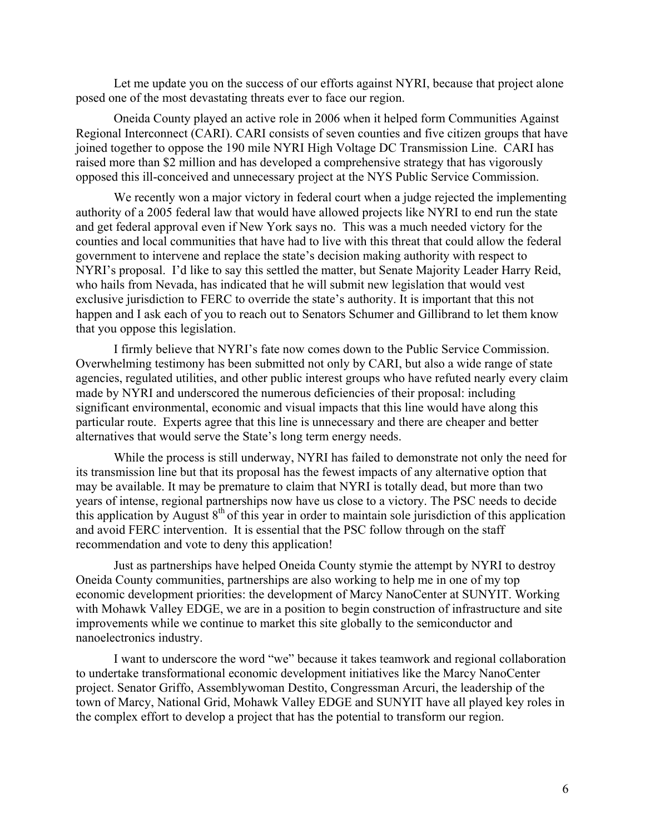Let me update you on the success of our efforts against NYRI, because that project alone posed one of the most devastating threats ever to face our region.

 Oneida County played an active role in 2006 when it helped form Communities Against Regional Interconnect (CARI). CARI consists of seven counties and five citizen groups that have joined together to oppose the 190 mile NYRI High Voltage DC Transmission Line. CARI has raised more than \$2 million and has developed a comprehensive strategy that has vigorously opposed this ill-conceived and unnecessary project at the NYS Public Service Commission.

We recently won a major victory in federal court when a judge rejected the implementing authority of a 2005 federal law that would have allowed projects like NYRI to end run the state and get federal approval even if New York says no. This was a much needed victory for the counties and local communities that have had to live with this threat that could allow the federal government to intervene and replace the state's decision making authority with respect to NYRI's proposal. I'd like to say this settled the matter, but Senate Majority Leader Harry Reid, who hails from Nevada, has indicated that he will submit new legislation that would vest exclusive jurisdiction to FERC to override the state's authority. It is important that this not happen and I ask each of you to reach out to Senators Schumer and Gillibrand to let them know that you oppose this legislation.

 I firmly believe that NYRI's fate now comes down to the Public Service Commission. Overwhelming testimony has been submitted not only by CARI, but also a wide range of state agencies, regulated utilities, and other public interest groups who have refuted nearly every claim made by NYRI and underscored the numerous deficiencies of their proposal: including significant environmental, economic and visual impacts that this line would have along this particular route. Experts agree that this line is unnecessary and there are cheaper and better alternatives that would serve the State's long term energy needs.

 While the process is still underway, NYRI has failed to demonstrate not only the need for its transmission line but that its proposal has the fewest impacts of any alternative option that may be available. It may be premature to claim that NYRI is totally dead, but more than two years of intense, regional partnerships now have us close to a victory. The PSC needs to decide this application by August  $8<sup>th</sup>$  of this year in order to maintain sole jurisdiction of this application and avoid FERC intervention. It is essential that the PSC follow through on the staff recommendation and vote to deny this application!

Just as partnerships have helped Oneida County stymie the attempt by NYRI to destroy Oneida County communities, partnerships are also working to help me in one of my top economic development priorities: the development of Marcy NanoCenter at SUNYIT. Working with Mohawk Valley EDGE, we are in a position to begin construction of infrastructure and site improvements while we continue to market this site globally to the semiconductor and nanoelectronics industry.

 I want to underscore the word "we" because it takes teamwork and regional collaboration to undertake transformational economic development initiatives like the Marcy NanoCenter project. Senator Griffo, Assemblywoman Destito, Congressman Arcuri, the leadership of the town of Marcy, National Grid, Mohawk Valley EDGE and SUNYIT have all played key roles in the complex effort to develop a project that has the potential to transform our region.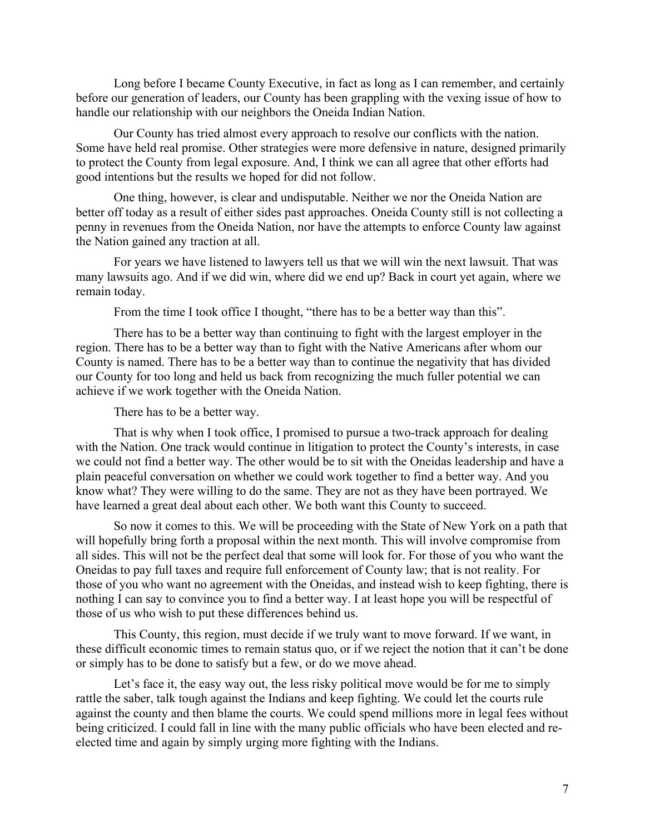Long before I became County Executive, in fact as long as I can remember, and certainly before our generation of leaders, our County has been grappling with the vexing issue of how to handle our relationship with our neighbors the Oneida Indian Nation.

 Our County has tried almost every approach to resolve our conflicts with the nation. Some have held real promise. Other strategies were more defensive in nature, designed primarily to protect the County from legal exposure. And, I think we can all agree that other efforts had good intentions but the results we hoped for did not follow.

 One thing, however, is clear and undisputable. Neither we nor the Oneida Nation are better off today as a result of either sides past approaches. Oneida County still is not collecting a penny in revenues from the Oneida Nation, nor have the attempts to enforce County law against the Nation gained any traction at all.

 For years we have listened to lawyers tell us that we will win the next lawsuit. That was many lawsuits ago. And if we did win, where did we end up? Back in court yet again, where we remain today.

From the time I took office I thought, "there has to be a better way than this".

 There has to be a better way than continuing to fight with the largest employer in the region. There has to be a better way than to fight with the Native Americans after whom our County is named. There has to be a better way than to continue the negativity that has divided our County for too long and held us back from recognizing the much fuller potential we can achieve if we work together with the Oneida Nation.

There has to be a better way.

 That is why when I took office, I promised to pursue a two-track approach for dealing with the Nation. One track would continue in litigation to protect the County's interests, in case we could not find a better way. The other would be to sit with the Oneidas leadership and have a plain peaceful conversation on whether we could work together to find a better way. And you know what? They were willing to do the same. They are not as they have been portrayed. We have learned a great deal about each other. We both want this County to succeed.

 So now it comes to this. We will be proceeding with the State of New York on a path that will hopefully bring forth a proposal within the next month. This will involve compromise from all sides. This will not be the perfect deal that some will look for. For those of you who want the Oneidas to pay full taxes and require full enforcement of County law; that is not reality. For those of you who want no agreement with the Oneidas, and instead wish to keep fighting, there is nothing I can say to convince you to find a better way. I at least hope you will be respectful of those of us who wish to put these differences behind us.

 This County, this region, must decide if we truly want to move forward. If we want, in these difficult economic times to remain status quo, or if we reject the notion that it can't be done or simply has to be done to satisfy but a few, or do we move ahead.

Let's face it, the easy way out, the less risky political move would be for me to simply rattle the saber, talk tough against the Indians and keep fighting. We could let the courts rule against the county and then blame the courts. We could spend millions more in legal fees without being criticized. I could fall in line with the many public officials who have been elected and reelected time and again by simply urging more fighting with the Indians.